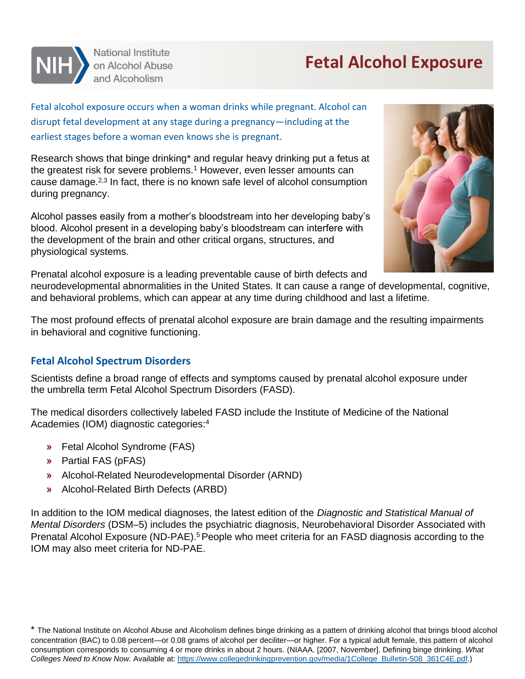

**National Institute** on Alcohol Abuse

# **Fetal Alcohol Exposure**

Fetal alcohol exposure occurs when a woman drinks while pregnant. Alcohol can disrupt fetal development at any stage during a pregnancy—including at the earliest stages before a woman even knows she is pregnant.

Research shows that binge drinking\* and regular heavy drinking put a fetus at the greatest risk for severe problems.<sup>1</sup> However, even lesser amounts can cause damage.2,3 In fact, there is no known safe level of alcohol consumption during pregnancy.

Alcohol passes easily from a mother's bloodstream into her developing baby's blood. Alcohol present in a developing baby's bloodstream can interfere with the development of the brain and other critical organs, structures, and physiological systems.



Prenatal alcohol exposure is a leading preventable cause of birth defects and neurodevelopmental abnormalities in the United States. It can cause a range of developmental, cognitive, and behavioral problems, which can appear at any time during childhood and last a lifetime.

The most profound effects of prenatal alcohol exposure are brain damage and the resulting impairments in behavioral and cognitive functioning.

## **Fetal Alcohol Spectrum Disorders**

Scientists define a broad range of effects and symptoms caused by prenatal alcohol exposure under the umbrella term Fetal Alcohol Spectrum Disorders (FASD).

The medical disorders collectively labeled FASD include the Institute of Medicine of the National Academies (IOM) diagnostic categories:<sup>4</sup>

- **»** Fetal Alcohol Syndrome (FAS)
- **»** Partial FAS (pFAS)
- **»** Alcohol-Related Neurodevelopmental Disorder (ARND)
- **»** Alcohol-Related Birth Defects (ARBD)

In addition to the IOM medical diagnoses, the latest edition of the *Diagnostic and Statistical Manual of Mental Disorders* (DSM–5) includes the psychiatric diagnosis, Neurobehavioral Disorder Associated with Prenatal Alcohol Exposure (ND-PAE).<sup>5</sup> People who meet criteria for an FASD diagnosis according to the IOM may also meet criteria for ND-PAE.

\* The National Institute on Alcohol Abuse and Alcoholism defines binge drinking as a pattern of drinking alcohol that brings blood alcohol concentration (BAC) to 0.08 percent—or 0.08 grams of alcohol per deciliter—or higher. For a typical adult female, this pattern of alcohol consumption corresponds to consuming 4 or more drinks in about 2 hours. (NIAAA. [2007, November]. Defining binge drinking. *What Colleges Need to Know Now.* Available at: [https://www.collegedrinkingprevention.gov/media/1College\\_Bulletin-508\\_361C4E.pdf.](https://www.collegedrinkingprevention.gov/media/1College_Bulletin-508_361C4E.pdf))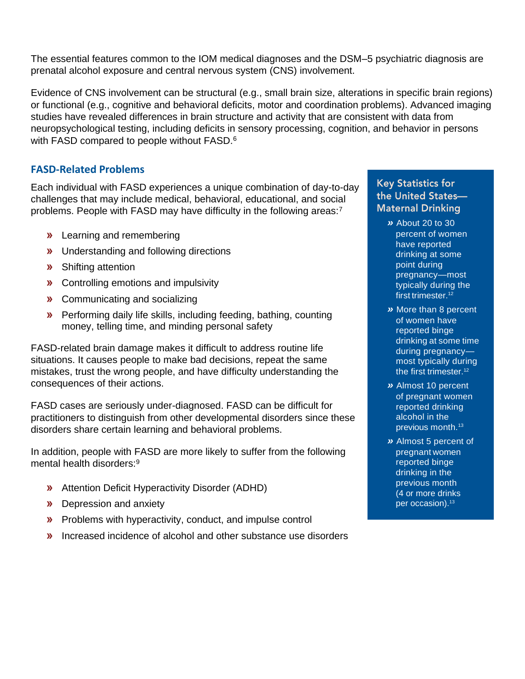The essential features common to the IOM medical diagnoses and the DSM–5 psychiatric diagnosis are prenatal alcohol exposure and central nervous system (CNS) involvement.

Evidence of CNS involvement can be structural (e.g., small brain size, alterations in specific brain regions) or functional (e.g., cognitive and behavioral deficits, motor and coordination problems). Advanced imaging studies have revealed differences in brain structure and activity that are consistent with data from neuropsychological testing, including deficits in sensory processing, cognition, and behavior in persons with FASD compared to people without FASD.<sup>6</sup>

## **FASD-Related Problems**

Each individual with FASD experiences a unique combination of day-to-day challenges that may include medical, behavioral, educational, and social problems. People with FASD may have difficulty in the following areas:<sup>7</sup>

- **»** Learning and remembering
- **»** Understanding and following directions
- **»** Shifting attention
- **»** Controlling emotions and impulsivity
- **»** Communicating and socializing
- **»** Performing daily life skills, including feeding, bathing, counting money, telling time, and minding personal safety

FASD-related brain damage makes it difficult to address routine life situations. It causes people to make bad decisions, repeat the same mistakes, trust the wrong people, and have difficulty understanding the consequences of their actions.

FASD cases are seriously under-diagnosed. FASD can be difficult for practitioners to distinguish from other developmental disorders since these disorders share certain learning and behavioral problems.

In addition, people with FASD are more likely to suffer from the following mental health disorders:<sup>9</sup>

- **»** Attention Deficit Hyperactivity Disorder (ADHD)
- **»** Depression and anxiety
- **»** Problems with hyperactivity, conduct, and impulse control
- **»** Increased incidence of alcohol and other substance use disorders

#### **Key Statistics for** the United States-**Maternal Drinking**

- *»* About 20 to 30 percent of women have reported drinking at some point during pregnancy—most typically during the first trimester.<sup>12</sup>
- *»* More than 8 percent of women have reported binge drinking at some time during pregnancy most typically during the first trimester.<sup>12</sup>
- *»* Almost 10 percent of pregnant women reported drinking alcohol in the previous month.<sup>13</sup>
- *»* Almost 5 percent of pregnant women reported binge drinking in the previous month (4 or more drinks per occasion).<sup>13</sup>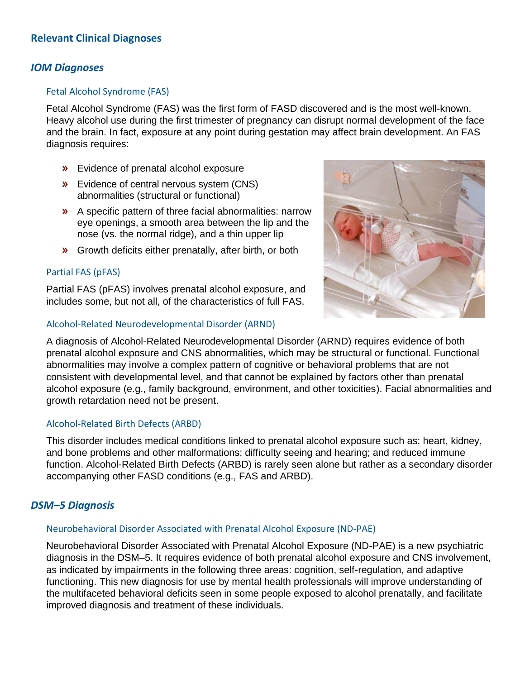## *IOM Diagnoses*

#### Fetal Alcohol Syndrome (FAS)

Fetal Alcohol Syndrome (FAS) was the first form of FASD discovered and is the most well-known. Heavy alcohol use during the first trimester of pregnancy can disrupt normal development of the face and the brain. In fact, exposure at any point during gestation may affect brain development. An FAS diagnosis requires:

- **»** Evidence of prenatal alcohol exposure
- **»** Evidence of central nervous system (CNS) abnormalities (structural or functional)
- **»** A specific pattern of three facial abnormalities: narrow eye openings, a smooth area between the lip and the nose (vs. the normal ridge), and a thin upper lip
- **»** Growth deficits either prenatally, after birth, or both

#### Partial FAS (pFAS)

Partial FAS (pFAS) involves prenatal alcohol exposure, and includes some, but not all, of the characteristics of full FAS.

#### Alcohol-Related Neurodevelopmental Disorder (ARND)



A diagnosis of Alcohol-Related Neurodevelopmental Disorder (ARND) requires evidence of both prenatal alcohol exposure and CNS abnormalities, which may be structural or functional. Functional abnormalities may involve a complex pattern of cognitive or behavioral problems that are not consistent with developmental level, and that cannot be explained by factors other than prenatal alcohol exposure (e.g., family background, environment, and other toxicities). Facial abnormalities and growth retardation need not be present.

#### Alcohol-Related Birth Defects (ARBD)

This disorder includes medical conditions linked to prenatal alcohol exposure such as: heart, kidney, and bone problems and other malformations; difficulty seeing and hearing; and reduced immune function. Alcohol-Related Birth Defects (ARBD) is rarely seen alone but rather as a secondary disorder accompanying other FASD conditions (e.g., FAS and ARBD).

#### *DSM–5 Diagnosis*

#### Neurobehavioral Disorder Associated with Prenatal Alcohol Exposure (ND-PAE)

Neurobehavioral Disorder Associated with Prenatal Alcohol Exposure (ND-PAE) is a new psychiatric diagnosis in the DSM–5. It requires evidence of both prenatal alcohol exposure and CNS involvement, as indicated by impairments in the following three areas: cognition, self-regulation, and adaptive functioning. This new diagnosis for use by mental health professionals will improve understanding of the multifaceted behavioral deficits seen in some people exposed to alcohol prenatally, and facilitate improved diagnosis and treatment of these individuals.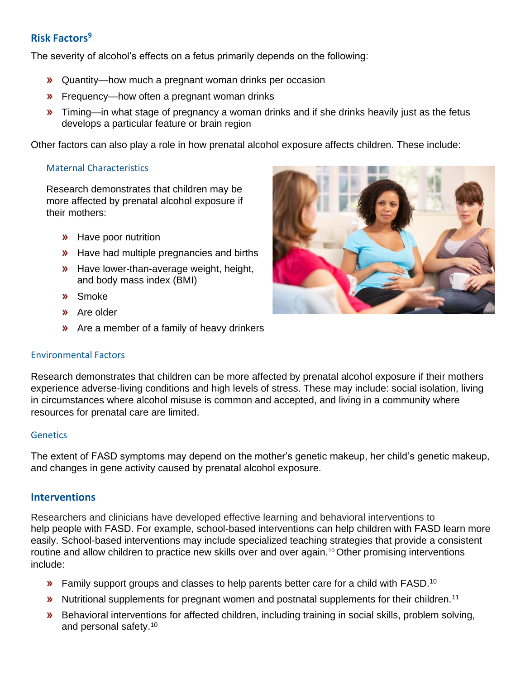## **Risk Factors<sup>9</sup>**

The severity of alcohol's effects on a fetus primarily depends on the following:

- **»** Quantity—how much a pregnant woman drinks per occasion
- **»** Frequency—how often a pregnant woman drinks
- **»** Timing—in what stage of pregnancy a woman drinks and if she drinks heavily just as the fetus develops a particular feature or brain region

Other factors can also play a role in how prenatal alcohol exposure affects children. These include:

#### Maternal Characteristics

Research demonstrates that children may be more affected by prenatal alcohol exposure if their mothers:

- **»** Have poor nutrition
- **»** Have had multiple pregnancies and births
- **»** Have lower-than-average weight, height, and body mass index (BMI)
- **»** Smoke
- **»** Are older
- **»** Are a member of a family of heavy drinkers

#### Environmental Factors



Research demonstrates that children can be more affected by prenatal alcohol exposure if their mothers experience adverse-living conditions and high levels of stress. These may include: social isolation, living in circumstances where alcohol misuse is common and accepted, and living in a community where resources for prenatal care are limited.

#### **Genetics**

The extent of FASD symptoms may depend on the mother's genetic makeup, her child's genetic makeup, and changes in gene activity caused by prenatal alcohol exposure.

#### **Interventions**

Researchers and clinicians have developed effective learning and behavioral interventions to help people with FASD. For example, school-based interventions can help children with FASD learn more easily. School-based interventions may include specialized teaching strategies that provide a consistent routine and allow children to practice new skills over and over again.<sup>10</sup> Other promising interventions include:

- **»** Family support groups and classes to help parents better care for a child with FASD.<sup>10</sup>
- **»** Nutritional supplements for pregnant women and postnatal supplements for their children.<sup>11</sup>
- **»** Behavioral interventions for affected children, including training in social skills, problem solving, and personal safety.10